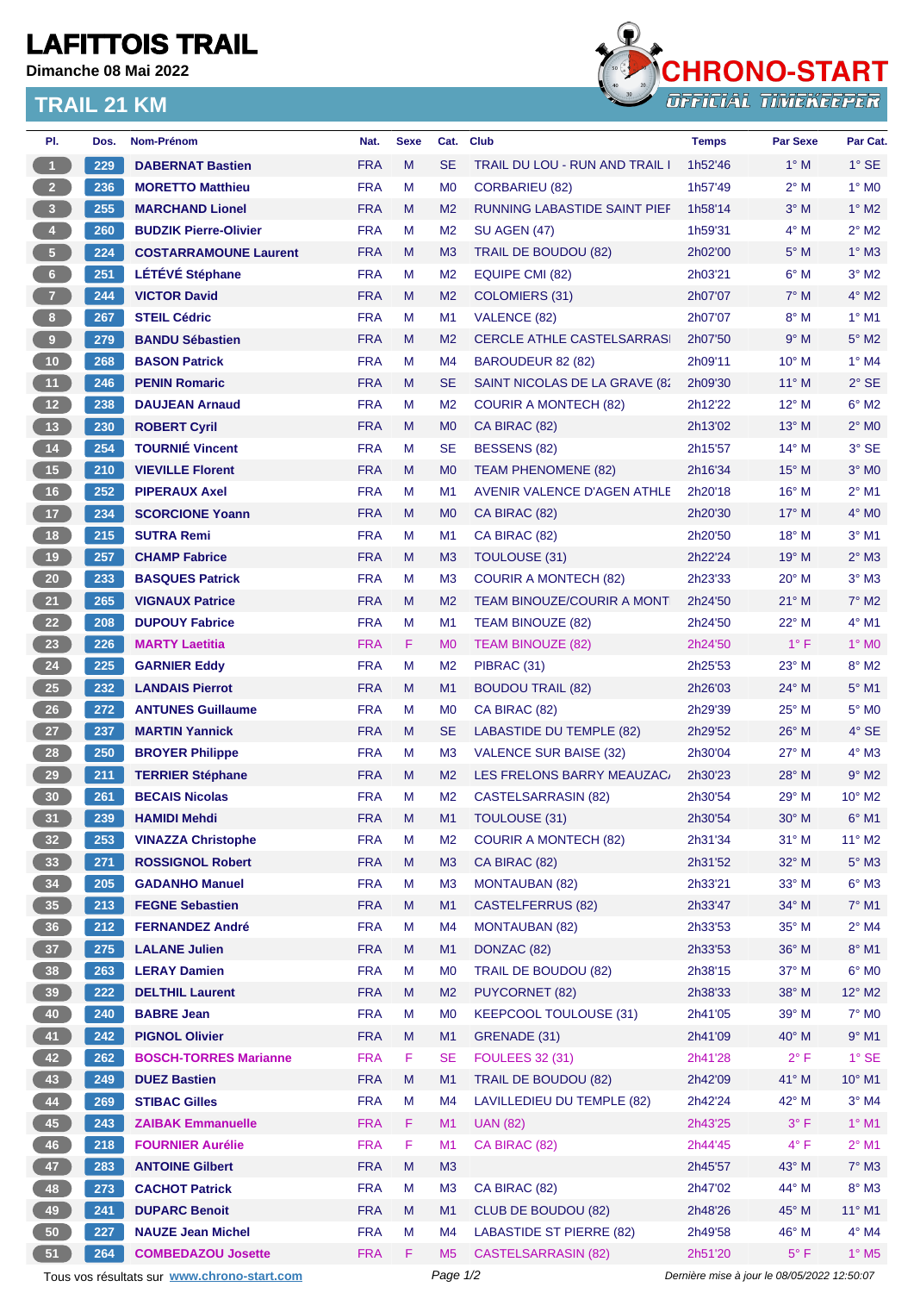## **LAFITTOIS TRAIL**

**Dimanche 08 Mai 2022**

## **TRAIL 21 KM**



| PI.                                                                                                    | Dos.       | <b>Nom-Prénom</b>            | Nat.       | <b>Sexe</b> | Cat.           | <b>Club</b>                         | <b>Temps</b>       | <b>Par Sexe</b> | Par Cat.                    |
|--------------------------------------------------------------------------------------------------------|------------|------------------------------|------------|-------------|----------------|-------------------------------------|--------------------|-----------------|-----------------------------|
| $\overline{1}$                                                                                         | 229        | <b>DABERNAT Bastien</b>      | <b>FRA</b> | M           | <b>SE</b>      | TRAIL DU LOU - RUN AND TRAIL I      | 1h52'46            | $1^\circ$ M     | $1^\circ$ SE                |
| 2 <sup>2</sup>                                                                                         | 236        | <b>MORETTO Matthieu</b>      | <b>FRA</b> | М           | M <sub>0</sub> | <b>CORBARIEU (82)</b>               | 1h57'49            | $2^{\circ}$ M   | $1^\circ$ MO                |
| $\overline{\mathbf{3}}$                                                                                | 255        | <b>MARCHAND Lionel</b>       | <b>FRA</b> | M           | M <sub>2</sub> | <b>RUNNING LABASTIDE SAINT PIEF</b> | 1h58'14            | $3^\circ$ M     | $1^\circ$ M2                |
| $\overline{4}$                                                                                         | 260        | <b>BUDZIK Pierre-Olivier</b> | <b>FRA</b> | М           | M <sub>2</sub> | <b>SU AGEN (47)</b>                 | 1h59'31            | $4^\circ$ M     | $2^{\circ}$ M2              |
| $5 -$                                                                                                  | 224        | <b>COSTARRAMOUNE Laurent</b> | <b>FRA</b> | M           | M <sub>3</sub> | TRAIL DE BOUDOU (82)                | 2h02'00            | $5^\circ$ M     | $1^\circ$ M3                |
| $6 -$                                                                                                  | 251        | LÉTÉVÉ Stéphane              | <b>FRA</b> | М           | M <sub>2</sub> | EQUIPE CMI (82)                     | 2h03'21            | $6^\circ$ M     | $3°$ M2                     |
| $\overline{7}$                                                                                         | 244        | <b>VICTOR David</b>          | <b>FRA</b> | M           | M <sub>2</sub> | COLOMIERS (31)                      | 2h07'07            | $7^\circ$ M     | $4^\circ$ M2                |
| $\bf{8}$                                                                                               | 267        | <b>STEIL Cédric</b>          | <b>FRA</b> | М           | M <sub>1</sub> | VALENCE (82)                        | 2h07'07            | $8^\circ$ M     | $1^\circ$ M1                |
| 9 <sup>°</sup>                                                                                         | 279        | <b>BANDU Sébastien</b>       | <b>FRA</b> | M           | M <sub>2</sub> | <b>CERCLE ATHLE CASTELSARRAS</b>    | 2h07'50            | 9° M            | $5^\circ$ M2                |
| 10 <sub>1</sub>                                                                                        | 268        | <b>BASON Patrick</b>         | <b>FRA</b> | м           | M4             | BAROUDEUR 82 (82)                   | 2h09'11            | $10^{\circ}$ M  | $1^\circ$ M4                |
| 11                                                                                                     | 246        | <b>PENIN Romaric</b>         | <b>FRA</b> | M           | <b>SE</b>      | SAINT NICOLAS DE LA GRAVE (82       | 2h09'30            | $11^{\circ}$ M  | $2^{\circ}$ SE              |
| 12                                                                                                     | 238        | <b>DAUJEAN Arnaud</b>        | <b>FRA</b> | М           | M <sub>2</sub> | <b>COURIR A MONTECH (82)</b>        | 2h12'22            | $12^{\circ}$ M  | $6^{\circ}$ M2              |
| 13                                                                                                     | 230        | <b>ROBERT Cyril</b>          | <b>FRA</b> | M           | M <sub>0</sub> | CA BIRAC (82)                       | 2h13'02            | $13^\circ$ M    | $2^\circ$ MO                |
| $14$                                                                                                   | 254        | <b>TOURNIÉ Vincent</b>       | <b>FRA</b> | м           | <b>SE</b>      | <b>BESSENS (82)</b>                 | 2h15'57            | $14^{\circ}$ M  | $3°$ SE                     |
| 15                                                                                                     | 210        | <b>VIEVILLE Florent</b>      | <b>FRA</b> | M           | M <sub>0</sub> | <b>TEAM PHENOMENE (82)</b>          | 2h16'34            | $15^{\circ}$ M  | $3°$ MO                     |
| 16                                                                                                     | 252        | <b>PIPERAUX Axel</b>         | <b>FRA</b> | М           | M1             | AVENIR VALENCE D'AGEN ATHLE         | 2h20'18            | $16^{\circ}$ M  | $2^{\circ}$ M1              |
| 17 <sup>2</sup>                                                                                        | 234        | <b>SCORCIONE Yoann</b>       | <b>FRA</b> | M           | M <sub>0</sub> | CA BIRAC (82)                       | 2h20'30            | $17^\circ$ M    | $4^\circ$ MO                |
| 18                                                                                                     | 215        | <b>SUTRA Remi</b>            | <b>FRA</b> | М           | M <sub>1</sub> | CA BIRAC (82)                       | 2h20'50            | $18^{\circ}$ M  | $3°$ M1                     |
| 19                                                                                                     | 257        | <b>CHAMP Fabrice</b>         | <b>FRA</b> | M           | M <sub>3</sub> | <b>TOULOUSE (31)</b>                | 2h22'24            | 19° M           | $2^\circ$ M3                |
| 20 <sub>2</sub>                                                                                        | 233        | <b>BASQUES Patrick</b>       | <b>FRA</b> | М           | M <sub>3</sub> | <b>COURIR A MONTECH (82)</b>        | 2h23'33            | $20^{\circ}$ M  | $3°$ M $3$                  |
| 21                                                                                                     | 265        | <b>VIGNAUX Patrice</b>       | <b>FRA</b> | M           | M <sub>2</sub> | <b>TEAM BINOUZE/COURIR A MONT</b>   | 2h24'50            | $21^{\circ}$ M  | $7^\circ$ M2                |
| 22                                                                                                     | 208        | <b>DUPOUY Fabrice</b>        | <b>FRA</b> | М           | M1             | <b>TEAM BINOUZE (82)</b>            | 2h24'50            | $22^{\circ}$ M  | $4^\circ$ M1                |
| 23                                                                                                     | 226        | <b>MARTY Laetitia</b>        | <b>FRA</b> | F.          | M <sub>0</sub> | <b>TEAM BINOUZE (82)</b>            | 2h24'50            | $1^{\circ}$ F   | $1^\circ$ MO                |
| 24                                                                                                     | 225        | <b>GARNIER Eddy</b>          | <b>FRA</b> | М           | M <sub>2</sub> | PIBRAC (31)                         | 2h25'53            | $23^{\circ}$ M  | $8^\circ$ M2                |
| 25                                                                                                     | 232        | <b>LANDAIS Pierrot</b>       | <b>FRA</b> | M           | M <sub>1</sub> | <b>BOUDOU TRAIL (82)</b>            | 2h26'03            | $24^{\circ}$ M  | $5^\circ$ M1                |
| 26                                                                                                     | 272        | <b>ANTUNES Guillaume</b>     | <b>FRA</b> | М           | M <sub>0</sub> | CA BIRAC (82)                       | 2h29'39            | $25^{\circ}$ M  | $5^\circ$ MO                |
| 27                                                                                                     | 237        | <b>MARTIN Yannick</b>        | <b>FRA</b> | M           | <b>SE</b>      | LABASTIDE DU TEMPLE (82)            | 2h29'52            | $26^{\circ}$ M  | $4^\circ$ SE                |
| 28                                                                                                     | 250        | <b>BROYER Philippe</b>       | <b>FRA</b> | М           | M <sub>3</sub> | VALENCE SUR BAISE (32)              | 2h30'04            | $27^\circ$ M    | $4^\circ$ M3                |
| 29                                                                                                     | 211        | <b>TERRIER Stéphane</b>      | <b>FRA</b> | M           | M <sub>2</sub> | LES FRELONS BARRY MEAUZAC.          | 2h30'23            | 28° M           | $9^\circ$ M2                |
| 30                                                                                                     | 261        | <b>BECAIS Nicolas</b>        | <b>FRA</b> | М           | M <sub>2</sub> | CASTELSARRASIN (82)                 | 2h30'54            | $29^{\circ}$ M  | $10^{\circ}$ M <sub>2</sub> |
| 31                                                                                                     | 239        | <b>HAMIDI Mehdi</b>          | <b>FRA</b> | м           | M1             | TOULOUSE (31)                       | 2h30'54            | $30^\circ$ M    | $6^\circ$ M1                |
| 32 <sub>2</sub>                                                                                        | 253        | <b>VINAZZA Christophe</b>    | <b>FRA</b> | M           | M <sub>2</sub> | <b>COURIR A MONTECH (82)</b>        | 2h31'34            | $31^\circ$ M    | $11^{\circ}$ M2             |
| 33                                                                                                     | 271        | <b>ROSSIGNOL Robert</b>      | <b>FRA</b> | M           | M <sub>3</sub> | CA BIRAC (82)                       | 2h31'52            | 32° M           | $5^\circ$ M3                |
| 34                                                                                                     | 205        | <b>GADANHO Manuel</b>        | <b>FRA</b> | M           | M <sub>3</sub> | <b>MONTAUBAN (82)</b>               | 2h33'21            | 33° M           | $6^\circ$ M3                |
| 35 <sub>5</sub>                                                                                        | 213        | <b>FEGNE Sebastien</b>       | <b>FRA</b> | M           | M <sub>1</sub> | <b>CASTELFERRUS (82)</b>            | 2h33'47            | 34° M           | $7^\circ$ M1                |
| 36 <sup>°</sup>                                                                                        | 212        | <b>FERNANDEZ André</b>       | <b>FRA</b> | M           | M4             | <b>MONTAUBAN (82)</b>               | 2h33'53            | 35° M           | $2^{\circ}$ M4              |
| 37 <sup>°</sup>                                                                                        | 275        | <b>LALANE Julien</b>         | <b>FRA</b> | Μ           | M <sub>1</sub> | DONZAC (82)                         | 2h33'53            | 36° M           | $8^\circ$ M1                |
| 38                                                                                                     | 263        | <b>LERAY Damien</b>          | <b>FRA</b> | М           | M <sub>0</sub> | TRAIL DE BOUDOU (82)                | 2h38'15            | $37^\circ$ M    | $6^\circ$ MO                |
| 39                                                                                                     | 222        | <b>DELTHIL Laurent</b>       | <b>FRA</b> | M           | M <sub>2</sub> | <b>PUYCORNET (82)</b>               | 2h38'33            | 38° M           | 12° M2                      |
| 40                                                                                                     | 240        | <b>BABRE Jean</b>            | <b>FRA</b> | М           | M <sub>0</sub> | KEEPCOOL TOULOUSE (31)              | 2h41'05            | $39^\circ$ M    | $7^\circ$ MO                |
| 41                                                                                                     | 242        | <b>PIGNOL Olivier</b>        | <b>FRA</b> | Μ           | M <sub>1</sub> | GRENADE (31)                        | 2h41'09            | 40° M           | $9°$ M1                     |
| 42                                                                                                     | 262        | <b>BOSCH-TORRES Marianne</b> | <b>FRA</b> | F.          | <b>SE</b>      | <b>FOULEES 32 (31)</b>              | 2h41'28            | $2^{\circ}$ F   | $1^\circ$ SE                |
| 43                                                                                                     | 249        | <b>DUEZ Bastien</b>          | <b>FRA</b> | M           | M <sub>1</sub> | TRAIL DE BOUDOU (82)                | 2h42'09            | 41° M           | 10° M1                      |
| 44                                                                                                     |            | <b>STIBAC Gilles</b>         | <b>FRA</b> |             |                |                                     |                    | 42° M           | $3°$ M4                     |
| 45                                                                                                     | 269<br>243 | <b>ZAIBAK Emmanuelle</b>     | <b>FRA</b> | М           | M4<br>M1       | LAVILLEDIEU DU TEMPLE (82)          | 2h42'24<br>2h43'25 | $3^{\circ}$ F   | $1^\circ$ M1                |
|                                                                                                        |            |                              | <b>FRA</b> | F.<br>F     | M1             | <b>UAN (82)</b>                     |                    | $4^{\circ}$ F   | $2^{\circ}$ M1              |
| 46                                                                                                     | 218        | <b>FOURNIER Aurélie</b>      |            |             |                | CA BIRAC (82)                       | 2h44'45            |                 |                             |
| 47                                                                                                     | 283        | <b>ANTOINE Gilbert</b>       | <b>FRA</b> | M           | M3             |                                     | 2h45'57            | 43° M           | $7^\circ$ M3                |
| 48                                                                                                     | 273        | <b>CACHOT Patrick</b>        | <b>FRA</b> | Μ           | M3             | CA BIRAC (82)                       | 2h47'02            | 44° M           | $8^\circ$ M3                |
| 49                                                                                                     | 241        | <b>DUPARC Benoit</b>         | <b>FRA</b> | M           | M <sub>1</sub> | CLUB DE BOUDOU (82)                 | 2h48'26            | 45° M           | $11^{\circ}$ M1             |
| 50                                                                                                     | 227        | <b>NAUZE Jean Michel</b>     | <b>FRA</b> | М           | M <sub>4</sub> | <b>LABASTIDE ST PIERRE (82)</b>     | 2h49'58            | 46° M           | $4^\circ$ M4                |
| 51                                                                                                     | 264        | <b>COMBEDAZOU Josette</b>    | <b>FRA</b> | F           | M <sub>5</sub> | <b>CASTELSARRASIN (82)</b>          | 2h51'20            | $5^{\circ}$ F   | $1^\circ$ M <sub>5</sub>    |
| Page 1/2<br>Dernière mise à jour le 08/05/2022 12:50:07<br>Tous vos résultats sur www.chrono-start.com |            |                              |            |             |                |                                     |                    |                 |                             |